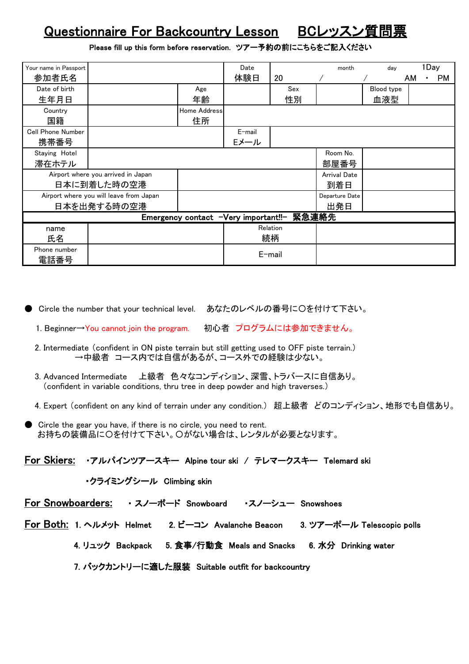## Questionnaire For Backcountry Lesson BCレッスン質問票

Please fill up this form before reservation. ツアー予約の前にこちらをご記入ください

| Your name in Passport                         |             |              | Date      |          | month               | day        |    | 1Day |           |
|-----------------------------------------------|-------------|--------------|-----------|----------|---------------------|------------|----|------|-----------|
| 参加者氏名                                         |             |              | 体験日       | 20       |                     |            | AM | ٠    | <b>PM</b> |
| Date of birth                                 |             | Age          |           | Sex      |                     | Blood type |    |      |           |
| 生年月日                                          |             | 年齢           |           | 性別       |                     | 血液型        |    |      |           |
| Country                                       |             | Home Address |           |          |                     |            |    |      |           |
| 国籍                                            |             | 住所           |           |          |                     |            |    |      |           |
| <b>Cell Phone Number</b>                      |             |              | $E$ -mail |          |                     |            |    |      |           |
| 携帯番号                                          |             |              | Eメール      |          |                     |            |    |      |           |
| Staying Hotel                                 |             |              |           |          | Room No.            |            |    |      |           |
| 滞在ホテル                                         |             |              |           |          | 部屋番号                |            |    |      |           |
| Airport where you arrived in Japan            |             |              |           |          | <b>Arrival Date</b> |            |    |      |           |
| 日本に到着した時の空港                                   |             |              |           |          | 到着日                 |            |    |      |           |
| Airport where you will leave from Japan       |             |              |           |          | Departure Date      |            |    |      |           |
|                                               | 日本を出発する時の空港 |              |           |          | 出発日                 |            |    |      |           |
| 緊急連絡先<br>Emergency contact -Very important!!- |             |              |           |          |                     |            |    |      |           |
| name                                          |             |              |           | Relation |                     |            |    |      |           |
| 氏名                                            |             |              |           | 続柄       |                     |            |    |      |           |
| Phone number                                  |             |              |           |          |                     |            |    |      |           |
| 電話番号                                          |             |              |           | E-mail   |                     |            |    |      |           |

● Circle the number that your technical level. あなたのレベルの番号に〇を付けて下さい。

- 1. Beginner→You cannot join the program. 初心者 プログラムには参加できません。
- 2. Intermediate (confident in ON piste terrain but still getting used to OFF piste terrain.) →中級者 コース内では自信があるが、コース外での経験は少ない。
- 3. Advanced Intermediate 上級者 色々なコンディション、深雪、トラバースに自信あり。 (confident in variable conditions, thru tree in deep powder and high traverses.)
- 4. Expert (confident on any kind of terrain under any condition.) 超上級者 どのコンディション、地形でも自信あり。
- Circle the gear you have, if there is no circle, you need to rent. お持ちの装備品に〇を付けて下さい。〇がない場合は、レンタルが必要となります。

For Skiers: ・アルパインツアースキー Alpine tour ski / テレマークスキー Telemard ski

・クライミングシール Climbing skin

For Snowboarders: ・ スノーボード Snowboard ・スノーシュー Snowshoes

For Both: 1. ヘルメット Helmet 2. ビーコン Avalanche Beacon 3. ツアーポール Telescopic polls

4. リュック Backpack 5. 食事/行動食 Meals and Snacks 6. 水分 Drinking water

7. バックカントリーに適した服装 Suitable outfit for backcountry